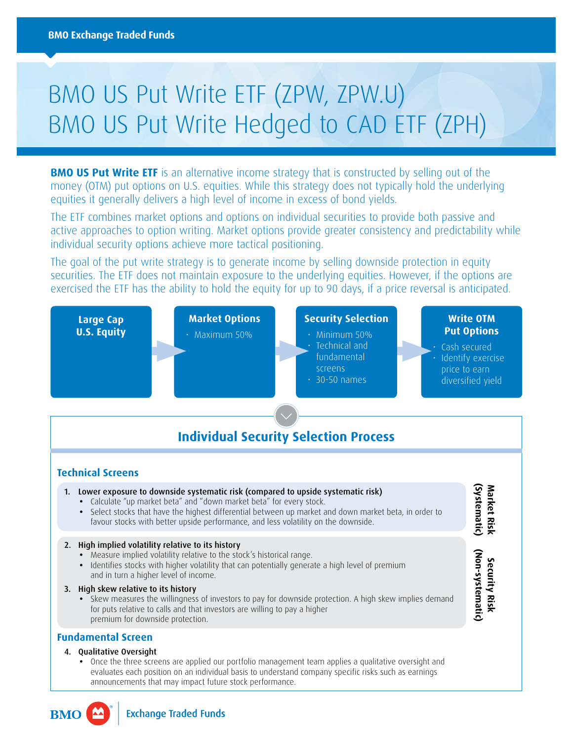# BMO US Put Write ETF (ZPW, ZPW.U) BMO US Put Write Hedged to CAD ETF (ZPH)

**BMO US Put Write ETF** is an alternative income strategy that is constructed by selling out of the money (OTM) put options on U.S. equities. While this strategy does not typically hold the underlying equities it generally delivers a high level of income in excess of bond yields.

The ETF combines market options and options on individual securities to provide both passive and active approaches to option writing. Market options provide greater consistency and predictability while individual security options achieve more tactical positioning.

The goal of the put write strategy is to generate income by selling downside protection in equity securities. The ETF does not maintain exposure to the underlying equities. However, if the options are exercised the ETF has the ability to hold the equity for up to 90 days, if a price reversal is anticipated.



**Exchange Traded Funds** 

**BMC**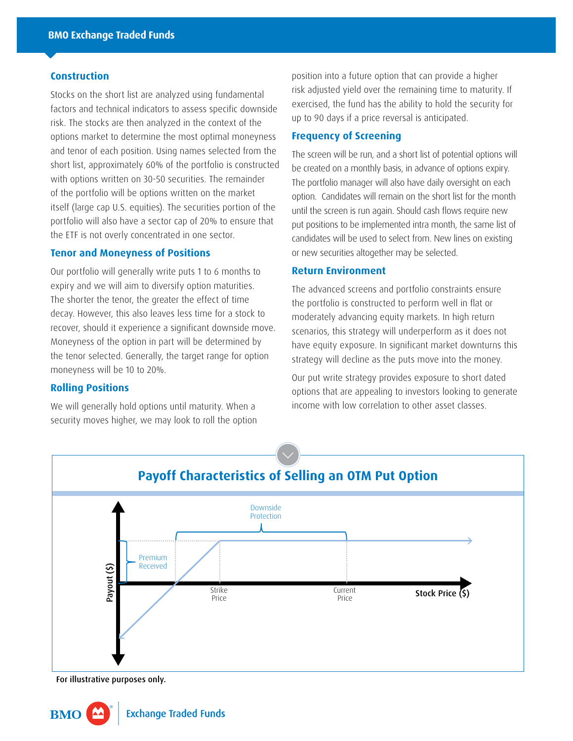#### **Construction**

Stocks on the short list are analyzed using fundamental factors and technical indicators to assess specific downside risk. The stocks are then analyzed in the context of the options market to determine the most optimal moneyness and tenor of each position. Using names selected from the short list, approximately 60% of the portfolio is constructed with options written on 30-50 securities. The remainder of the portfolio will be options written on the market itself (large cap U.S. equities). The securities portion of the portfolio will also have a sector cap of 20% to ensure that the ETF is not overly concentrated in one sector.

# **Tenor and Moneyness of Positions**

Our portfolio will generally write puts 1 to 6 months to expiry and we will aim to diversify option maturities. The shorter the tenor, the greater the effect of time decay. However, this also leaves less time for a stock to recover, should it experience a significant downside move. Moneyness of the option in part will be determined by the tenor selected. Generally, the target range for option moneyness will be 10 to 20%.

# **Rolling Positions**

We will generally hold options until maturity. When a security moves higher, we may look to roll the option position into a future option that can provide a higher risk adjusted yield over the remaining time to maturity. If exercised, the fund has the ability to hold the security for up to 90 days if a price reversal is anticipated.

## **Frequency of Screening**

The screen will be run, and a short list of potential options will be created on a monthly basis, in advance of options expiry. The portfolio manager will also have daily oversight on each option. Candidates will remain on the short list for the month until the screen is run again. Should cash flows require new put positions to be implemented intra month, the same list of candidates will be used to select from. New lines on existing or new securities altogether may be selected.

### **Return Environment**

The advanced screens and portfolio constraints ensure the portfolio is constructed to perform well in flat or moderately advancing equity markets. In high return scenarios, this strategy will underperform as it does not have equity exposure. In significant market downturns this strategy will decline as the puts move into the money.

Our put write strategy provides exposure to short dated options that are appealing to investors looking to generate income with low correlation to other asset classes.



For illustrative purposes only.